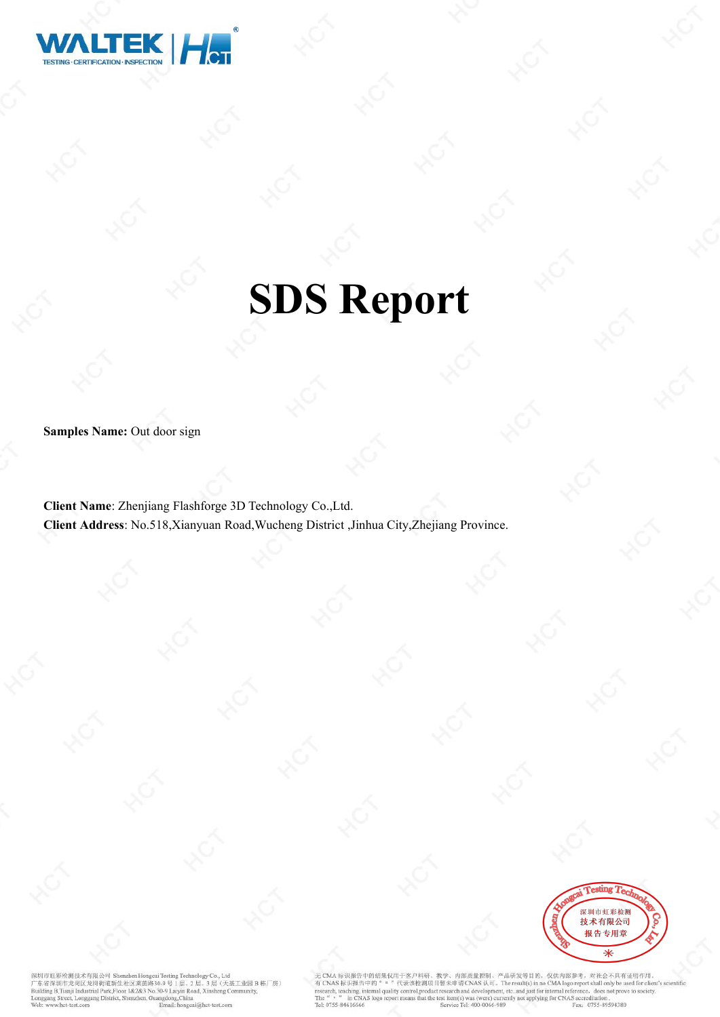

# **SDS Report**

**Samples Name:** Out door sign

**Client Name**: Zhenjiang Flashforge 3D Technology Co.,Ltd. **Client Address**: No.518,Xianyuan Road,Wucheng District ,Jinhua City,Zhejiang Province.



T彩绘影技术有限公司 Sh  $m<sub>12</sub>$ 深圳市虹彩检测技术有限公司 Shenzhen Hongcai Testing Technology Co., Ltd<br>广东省深圳市龙岗区龙岗街道新生社区来菌路30-9 号 1 尼、2 层、3 层、4<br>Building B,Tianji Industrial Park,Floor 1&2&3 No.30-9 Laiyin Road, Xinsheng Con 已。」<br>层 (天基工业园B 栋厂房) et, Longgang District, Shenzhen, Guangdong, China het-test com

CMA标识报告中的结果仅用于客户科研、教学、内部质量控制、产品研发等目的,仅供内部参考,对社会不具有证明作用。<br>CNAS 标识报告中的" " "代表该检测项目暂未申请 CNAS 认可。The result(s) in no CMA logo report shall only be used for client's sc<br>rarch, teaching, internal quality control,product research The Fax: 0755-89594380 Tel: 0755-84616666 Service Tel: 400-0066-989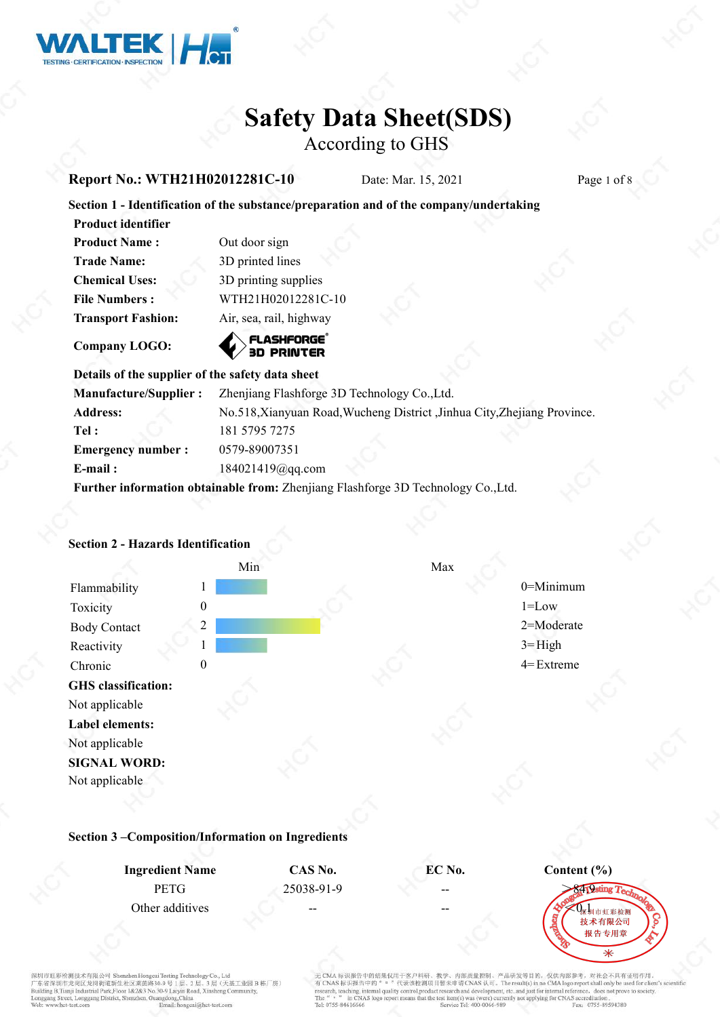

According to GHS

#### **Report No.: WTH21H02012281C-10** Date: Mar. 15, 2021 Page 1 of 8

#### **Section 1 - Identification of the substance/preparation and of the company/undertaking**

| <b>Product identifier</b> |                         |  |  |
|---------------------------|-------------------------|--|--|
| <b>Product Name:</b>      | Out door sign           |  |  |
| <b>Trade Name:</b>        | 3D printed lines        |  |  |
| <b>Chemical Uses:</b>     | 3D printing supplies    |  |  |
| <b>File Numbers:</b>      | WTH21H02012281C-10      |  |  |
| <b>Transport Fashion:</b> | Air, sea, rail, highway |  |  |
|                           |                         |  |  |

ASHEORGE Company LOGO: **Company LOGO:** 

### **Details** of the supplier of the safety data sheet

| <b>Manufacture/Supplier:</b>                                                      | Zhenjiang Flashforge 3D Technology Co., Ltd.                             |  |  |
|-----------------------------------------------------------------------------------|--------------------------------------------------------------------------|--|--|
| <b>Address:</b>                                                                   | No.518, Xianyuan Road, Wucheng District, Jinhua City, Zhejiang Province. |  |  |
| Tel :                                                                             | 181 5795 7275                                                            |  |  |
| <b>Emergency number:</b>                                                          | 0579-89007351                                                            |  |  |
| $E$ -mail:                                                                        | $184021419$ @gq.com                                                      |  |  |
| Further information obtainable from: Zhenjiang Flashforge 3D Technology Co., Ltd. |                                                                          |  |  |

### **GHS classification:** Not applicable **Label elements:** Not applicable **SIGNAL WORD:** Not applicable Min Max Flammability 1 1 1 0 0 = Minimum 0 = Minimum Toxicity 0 1=Low Body Contact 2 2 2=Moderate 2 2=Moderate Reactivity 1 1 3= High Chronic 0 4= Extreme

#### **Section 2 - Hazards Identification**

**Section 3 –Composition/Information on Ingredients**

| <b>Ingredient Name</b> | CAS No.    | EC No.                   | Content (%) |
|------------------------|------------|--------------------------|-------------|
| <b>PETG</b>            | 25038-91-9 | $\overline{\phantom{m}}$ |             |
| Other additives        | $- -$      | $- -$                    | 技术有限公司      |
|                        |            |                          |             |

红彩检测技术有限公司 Sh shan LL \* 第一名 本語 大学 (本語 本語 本語 本語 本語 Alexandrian House) (1, 2 层、3 层(天涯<br>- 京名深圳市龙岗区龙岗街道新生社区莱茵路 30-9 号 1 层、2 层、3 层(天涯 1<br>uilding B,Tianji Industrial Park,Floor 1&2&3 No.30-9 Laiyin Road, Xinsheng Cor 是 (天基工业园B栋厂房) reet, Longgang District, Shenzhen, Guangdong, China Email: honeca

无 CMA 标识报告中的结果仅用于客户科研、教学、内部质量控制、产品研发等目的, 仅供内部参考, 对社会不具有证明作用。<br>有 CNAS 标识报告中的"。"代表该检测项目暂未申请 CNAS 认可。The result(s) in no CMA logo report shall only be used for client's so<br>research, teaching, internal quality control,product Tel: 0755-84616666 Fax: 0755-89594380 Service Tel: 400-0066-989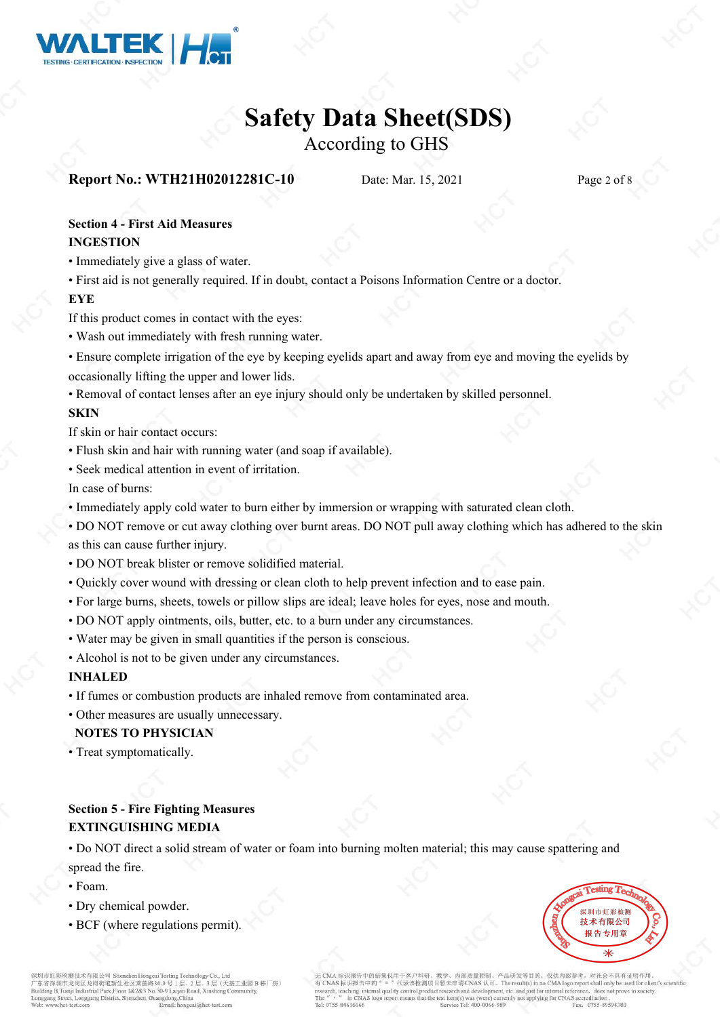

According to GHS

#### **Report No.: WTH21H02012281C-10** Date: Mar. 15, 2021 Page 2 of 8

#### **Section 4 - First Aid Measures INGESTION**

• Immediately give a glass of water.

• First aid is not generally required. If in doubt, contact a Poisons Information Centre or a doctor.

#### **EYE**

If this product comes in contact with the eyes:

- Wash out immediately with fresh running water.
- Ensure complete irrigation of the eye by keeping eyelids apart and away from eye and moving the eyelids by occasionally lifting the upper and lower lids.

• Removal of contact lenses after an eye injury should only be undertaken by skilled personnel.

#### **SKIN**

If skin or hair contact occurs:

- Flush skin and hair with running water (and soap if available).
- Seek medical attention in event of irritation.

In case of burns:

• Immediately apply cold water to burn either by immersion or wrapping with saturated clean cloth.

• DO NOT remove or cut away clothing over burnt areas. DO NOT pull away clothing which has adhered to the skin as this can cause further injury.

- DO NOT break blister or remove solidified material.
- Quickly cover wound with dressing or clean cloth to help prevent infection and to ease pain.
- For large burns, sheets, towels or pillow slips are ideal; leave holes for eyes, nose and mouth.
- DO NOT apply ointments, oils, butter, etc. to a burn under any circumstances.
- Water may be given in small quantities if the person is conscious.
- Alcohol is not to be given under any circumstances.

#### **INHALED**

- If fumes or combustion products are inhaled remove from contaminated area.
- Other measures are usually unnecessary.

#### **NOTES TO PHYSICIAN**

• Treat symptomatically.

#### **Section 5 - Fire Fighting Measures EXTINGUISHING MEDIA**

• Do NOT direct a solid stream of water or foam into burning molten material; this may cause spattering and

#### spread the fire.

- Foam.
- Dry chemical powder.
- BCF (where regulations permit).



ルインスルール (大法人の) - State Arthur (1996) - State Arthur (1997) - State Arthur (1997) - State Arthur (1997) - State Arthur (1997) - State Arthur (1997) - State Arthur (1997) - State Arthur (1997) - State Arthur (1997) - State 层(天基工业园B栋厂房) eet, Longgang District, Shenzhen, Guangdong, China

内部质量控制、产品研发等目的、仅供内部参考、对社会不具有证明作用 中的结果仅用于案户科研。 in CNAS logo at the test item(s) was (were) currently not applying for CNAS accreditation Fax: 0755-89594380 Tel: 0755-84616666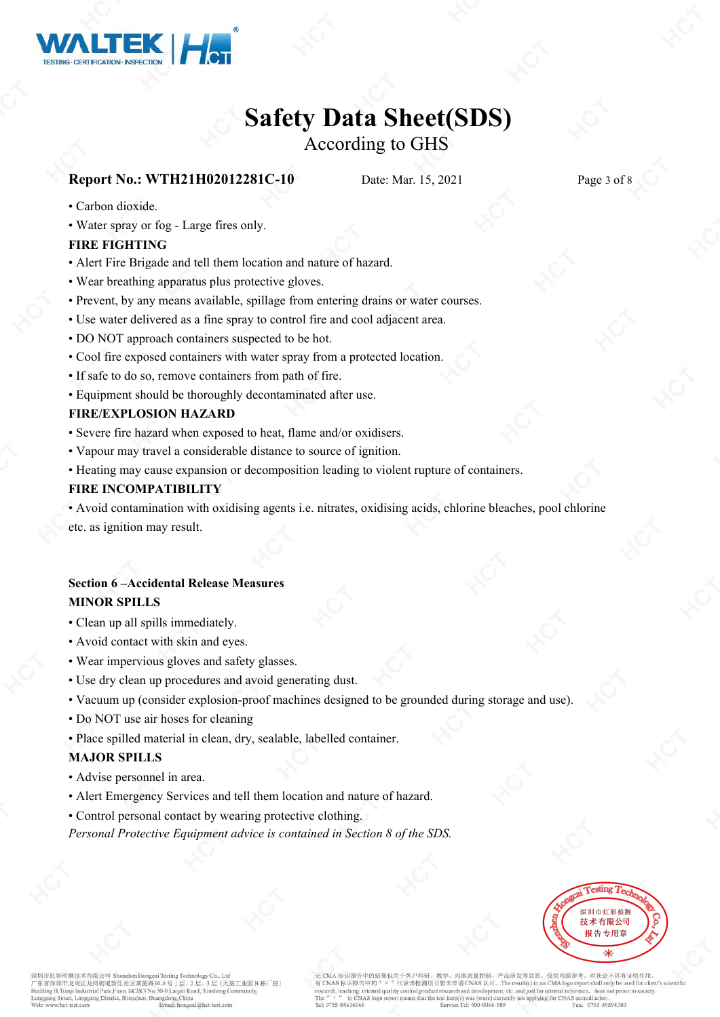

### According to GHS

#### **Report No.: WTH21H02012281C-10** Date: Mar. 15, 2021 Page 3 of 8

- Carbon dioxide.
- Water spray or fog Large fires only.

#### **FIRE FIGHTING**

- Alert Fire Brigade and tell them location and nature of hazard.
- Wear breathing apparatus plus protective gloves.
- Prevent, by any means available, spillage from entering drains or water courses.
- Use water delivered as a fine spray to control fire and cool adjacent area.
- DO NOT approach containers suspected to be hot.
- Cool fire exposed containers with water spray from a protected location.
- If safe to do so, remove containers from path of fire.
- Equipment should be thoroughly decontaminated after use.

#### **FIRE/EXPLOSION HAZARD**

- Severe fire hazard when exposed to heat, flame and/or oxidisers.
- Vapour may travel a considerable distance to source of ignition.
- Heating may cause expansion or decomposition leading to violent rupture of containers.

#### **FIRE INCOMPATIBILITY**

• Avoid contamination with oxidising agents i.e. nitrates, oxidising acids, chlorine bleaches, pool chlorine etc. as ignition may result.

#### **Section 6 –Accidental Release Measures MINOR SPILLS**

- Clean up all spills immediately.
- Avoid contact with skin and eyes.
- Wear impervious gloves and safety glasses.
- Use dry clean up procedures and avoid generating dust.
- Vacuum up (consider explosion-proof machines designed to be grounded during storage and use).
- Do NOT use air hoses for cleaning
- Place spilled material in clean, dry, sealable, labelled container.

#### **MAJOR SPILLS**

- Advise personnel in area.
- Alert Emergency Services and tell them location and nature of hazard.
- Control personal contact by wearing protective clothing.

*Personal Protective Equipment advice is contained in Section 8 of the SDS.*



彩检测技术有限公司 Sh 978年 - 2012年 2月23日 - 2012年 2月23日 2月23日 - 2012年 2月23日 2月23日 2月23日 2月23日 2月23日 2月23日 2月23日 2月23日 2月23日 2月23日 2月23日 2月23日 2月23日 2月23日 2月23日 2月23日 2月23日 2月23日 2月23日 2月23日 2月23日 2月23日 2月23日 2月23日 2月23日 2月23日 2月23日 2月23日 2月23日 ·<br>基工业园B 栋厂房) et, Longgang District, Shenzhen, Guang ong China

中的结果仅用于奖户科研 内部质量控制、产品研发等目的、仅供内部参考。 对社会不具有证明作用 代表该检测项目暂未 VAS  $\sqrt{N}$ . The result(s) in no CMA logo report shall only be us 中的 arch, teaching, internal quality oduct research and developr nt, etc..and just for internal reference, does not prove to so in CNAS log the test item(s) was (were) currently not applying for CNAS accreditation Fax: 0755-89594380 rel: 0755-8461666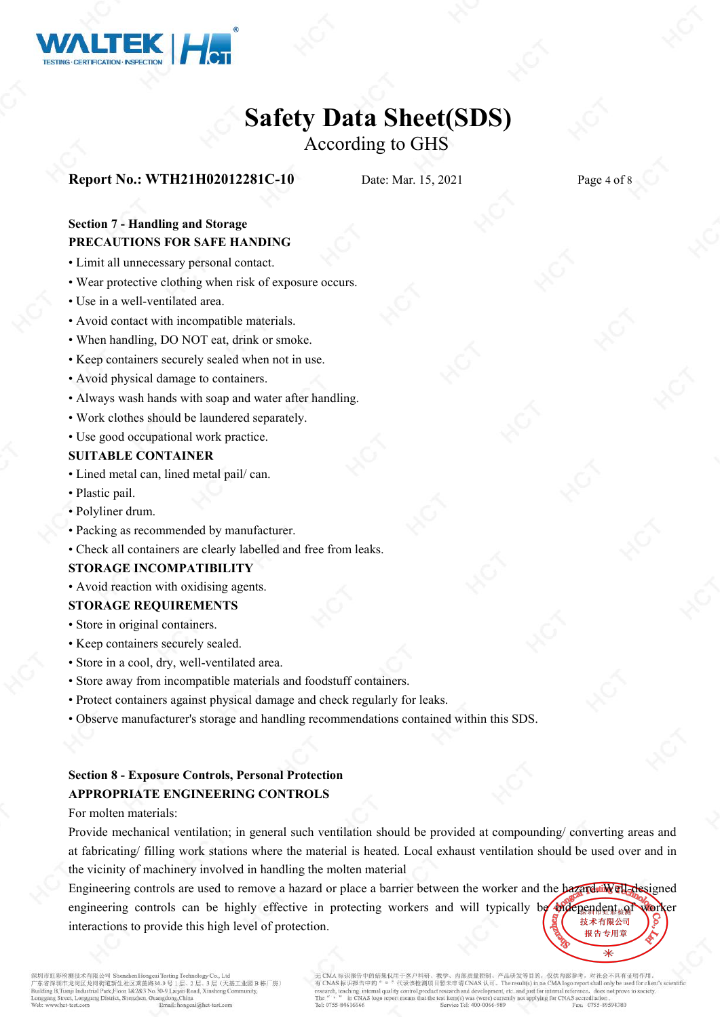

### According to GHS

#### **Report No.: WTH21H02012281C-10** Date: Mar. 15, 2021 Page 4 of 8

#### **Section 7 - Handling and Storage PRECAUTIONS FOR SAFE HANDING**

- Limit all unnecessary personal contact.
- Wear protective clothing when risk of exposure occurs.
- Use in a well-ventilated area.
- Avoid contact with incompatible materials.
- When handling, DO NOT eat, drink or smoke.
- Keep containers securely sealed when not in use.
- Avoid physical damage to containers.
- Always wash hands with soap and water after handling.
- Work clothes should be laundered separately.
- Use good occupational work practice.

#### **SUITABLE CONTAINER**

- Lined metal can, lined metal pail/ can.
- Plastic pail.
- Polyliner drum.
- Packing as recommended by manufacturer.
- Check all containers are clearly labelled and free from leaks.

#### **STORAGE INCOMPATIBILITY**

• Avoid reaction with oxidising agents.

#### **STORAGE REQUIREMENTS**

- Store in original containers.
- Keep containers securely sealed.
- Store in a cool, dry, well-ventilated area.
- Store away from incompatible materials and foodstuff containers.
- Protect containers against physical damage and check regularly for leaks.
- Observe manufacturer's storage and handling recommendations contained within this SDS.

#### **Section 8 - Exposure Controls, Personal Protection APPROPRIATE ENGINEERING CONTROLS**

For molten materials:

Provide mechanical ventilation; in general such ventilation should be provided at compounding/ converting areas and at fabricating/ filling work stations where the material is heated. Local exhaust ventilation should be used over and in the vicinity of machinery involved in handling the molten material

Engineering controls are used to remove a hazard or place a barrier between the worker and the **hazardsiil ell-designed** engineering controls can be highly effective in protecting workers and will typically be independent. The value 技术有限公司 interactions to provide this high level of protection.报告专用章

红彩检测技术有限公司 Sh \* 京省深圳市龙岗区龙岗街道新生社区莱茵路30-9 号 1 层、2 层、3 层(天涯<br>- 京省深圳市龙岗区龙岗街道新生社区莱茵路30-9 号 1 层、2 层、3 层(天涯<br>uilding B,Tianji Industrial Park,Floor 1&2&3 No.30-9 Laiyin Road, Xinsheng Con 层(天基工业园B栋厂房) ang Street, Longgang District, Shenzhen, Guangdong, China

内部质量控制、产品研发等目的, 仅供内部参考, 对社会不具有证明作用 标识报告中的结果仅用于奖户科研。 CMA 标识报告中的在来以用于各户标时、数字、时间加重配到。广治明系等。Pla的 X 的以内容的 The CMA bear of A Thing A HAT bull fift 用。<br>CNAS 标识报告中的 " 。 "代表这检测项目暂未申请 CNAS 认可。The result(s) in no CMA logo report shall only be used for clien<br>cerch, teaching, internal in CNAS logo rep that the test item(s) was (were) currently not applying for CNAS accreditation Tel: 0755-84616666 Fax: 0755-89594380 Service Tel: 400-0066-989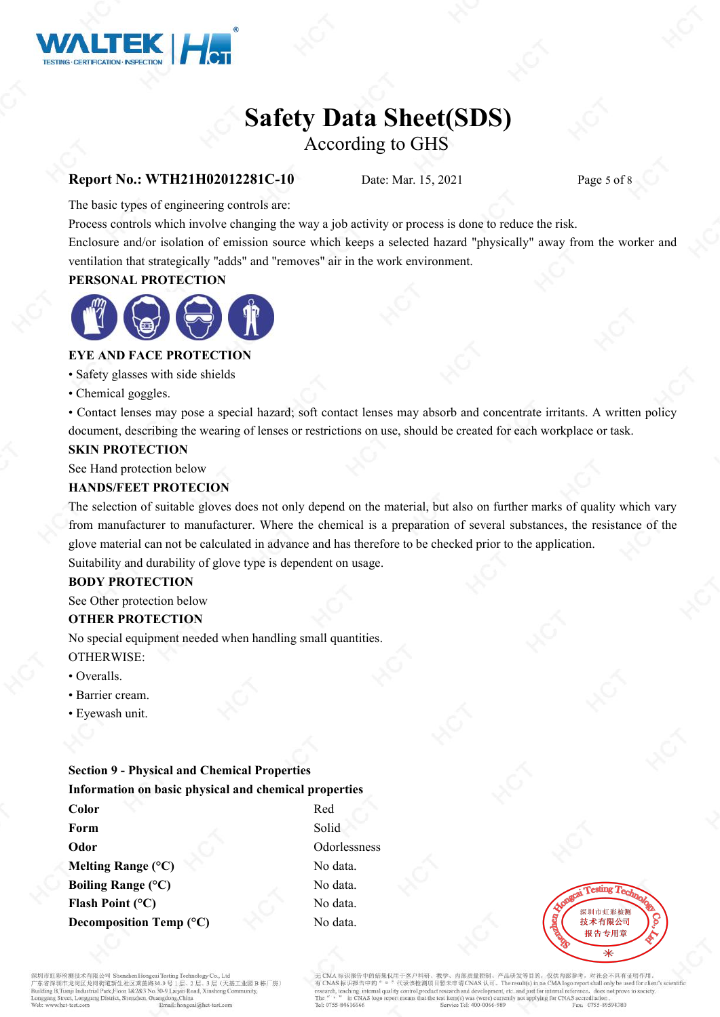

### According to GHS

#### **Report No.: WTH21H02012281C-10** Date: Mar. 15, 2021 Page 5 of 8

The basic types of engineering controls are:

Process controls which involve changing the way a job activity or process is done to reduce the risk.

Enclosure and/or isolation of emission source which keeps a selected hazard "physically" away from the worker and ventilation that strategically "adds" and "removes" air in the work environment.

#### **PERSONAL PROTECTION**



#### **EYE AND FACE PROTECTION**

• Safety glasses with side shields

• Chemical goggles.

• Contact lenses may pose a special hazard; soft contact lenses may absorb and concentrate irritants. A written policy document, describing the wearing of lenses or restrictions on use, should be created for each workplace or task.

#### **SKIN PROTECTION**

See Hand protection below

#### **HANDS/FEET PROTECION**

The selection of suitable gloves does not only depend on the material, but also on further marks of quality which vary from manufacturer to manufacturer. Where the chemical is a preparation of several substances, the resistance of the glove material can not be calculated in advance and has therefore to be checked prior to the application. Suitability and durability of glove type is dependent on usage.

#### **BODY PROTECTION**

See Other protection below

#### **OTHER PROTECTION**

No special equipment needed when handling small quantities.

### OTHERWISE:

- Overalls.
- Barrier cream.
- Eyewash unit.

#### **Section 9 - Physical and Chemical Properties Information on basic physical and chemical properties**

**Color** Red **Form** Solid Solid Solid Solid Solid Solid Solid Solid Solid Solid Solid Solid Solid Solid Solid Solid Solid Solid Solid Solid Solid Solid Solid Solid Solid Solid Solid Solid Solid Solid Solid Solid Solid Solid Solid Solid **Odor** Odorlessness **Melting Range** (°C) No data. **Boiling Range** (°C) No data. **Flash Point** (°C) No data. **Decomposition Temp (°C)** No data.



红彩检测技术有限公司 Sh \* 京省深圳市龙岗区龙岗街道新生社区莱茵路30-9 号 1 层、2 层、3 层(天涯<br>- 京省深圳市龙岗区龙岗街道新生社区莱茵路30-9 号 1 层、2 层、3 层(天涯<br>uilding B,Tianji Industrial Park,Floor 1&2&3 No.30-9 Laiyin Road, Xinsheng Con し。、<br>|层 (天基工业园B栋厂房) eet, Longgang District, Shenzhen, Guangdong, China

内部质量控制、产品研发等目的, 仅供内部参考, 对社会不具有证明作用 迎报告中的结果仅用于奖户科研。 - XMA 标识取音中阳拓来以内于圣尸形材、教学、丹部成重形物、广治研发等日的,这种界面的人类的感染了。对社会不具有10ml<br>CNAS 标识报告中的" 。"代表该检测项目暂未申请 CNAS 认可。The result(s) in no CMA logo report shall only be used for clier<br>rarch, teaching, internal quality control,product researc in CNAS logo at the test item(s) was (were) currently not applying for CNAS accreditation Fax: 0755-89594380 Tel: 0755-84616666 Service Tel: 400-0066-989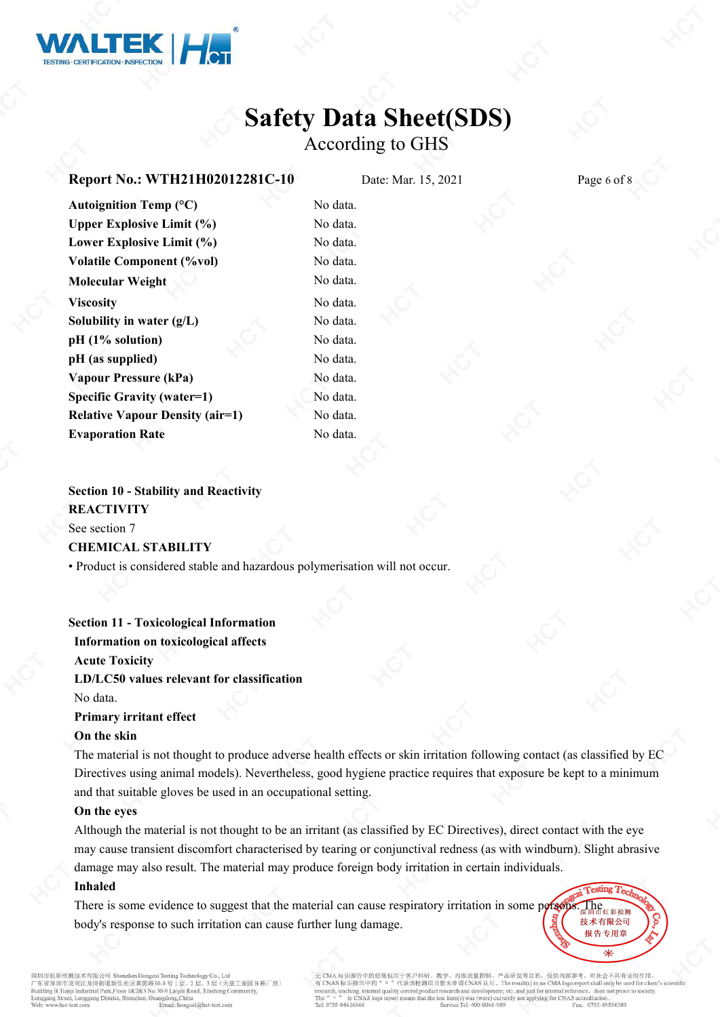

## **Safety Data Sheet(SDS)** According to GHS

#### **Report No.: WTH21H02012281C-10** Date: Mar. 15, 2021 Page 6 of 8

| Autoignition Temp $(^{\circ}C)$        | No data. |  |
|----------------------------------------|----------|--|
| <b>Upper Explosive Limit (%)</b>       | No data. |  |
| Lower Explosive Limit (%)              | No data. |  |
| <b>Volatile Component (%vol)</b>       | No data. |  |
| <b>Molecular Weight</b>                | No data. |  |
| <b>Viscosity</b>                       | No data. |  |
| Solubility in water $(g/L)$            | No data. |  |
| pH (1% solution)                       | No data. |  |
| pH (as supplied)                       | No data. |  |
| <b>Vapour Pressure (kPa)</b>           | No data. |  |
| Specific Gravity (water=1)             | No data. |  |
| <b>Relative Vapour Density (air=1)</b> | No data. |  |
| <b>Evaporation Rate</b>                | No data. |  |

**Section 10 - Stability and Reactivity REACTIVITY** See section 7 **CHEMICAL STABILITY**

• Product is considered stable and hazardous polymerisation will not occur.

**Section 11 - Toxicological Information**

**Information on toxicological affects Acute Toxicity LD/LC50 values relevant for classification** No data. **Primary irritant effect**

#### **On the skin**

The material is not thought to produce adverse health effects orskin irritation following contact (as classified by EC Directives using animal models). Nevertheless, good hygiene practice requires that exposure be kept to a minimum and that suitable gloves be used in an occupational setting.

#### **On the eyes**

Although the material is not thought to be an irritant (as classified by EC Directives), direct contact with the eye may cause transient discomfort characterised by tearing or conjunctival redness (as with windburn). Slight abrasive damage may also result. The material may produce foreign body irritation in certain individuals.

#### **Inhaled**

There is some evidence to suggest that the material can cause respiratory irritation in some persons. The body's response to such irritation can cause further lung damage.

市龙岗区龙岗街道新生社区莱茵路30 层(天基工业园B栋厂房) ilding B,Tianji Industrial Park,Floor 1&2&3 No.30-9 Laiyin Road, Xinsheng Co et, Longgang District, Shenzhen, Guangdong, China Email: hone

中的结果仅用于案户科研 Istheball All Prints 产品研发等日的。 仅供内部参考。 对社会不具有证明作用 代表该检测项目暂未 VAS  $\sqrt[k]{\pi}$ . The result(s) in no CMA logo report shall only be use S标识报告 中的 arch, teaching, internal quality oduct research and develop nt, etc..and just for internal re does not prove to society in CNAS logo at the test item(s) was (were) currently not applying for CNAS accreditation Tel: 0755-8461666 Fax: 0755-89594380

**Cesting T.** 

技术有限公司 报告专用章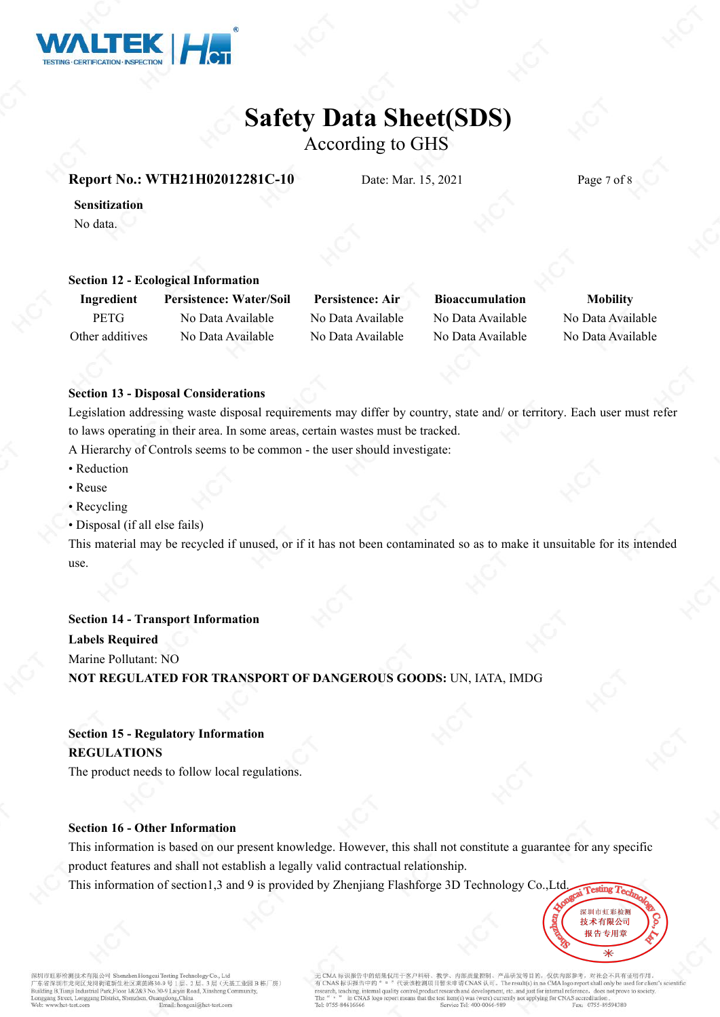

According to GHS

#### **Report No.: WTH21H02012281C-10** Date: Mar. 15, 2021 Page 7 of 8

**Sensitization** No data.

#### **Section 12 - Ecological Information**

**Ingredient Persistence: Water/Soil Persistence: Air Bioaccumulation Mobility** PETG No Data Available No Data Available No Data Available No Data Available Other additives No Data Available No Data Available No Data Available No Data Available

#### **Section 13 - Disposal Considerations**

Legislation addressing waste disposal requirements may differ by country, state and/ or territory. Each user mustrefer to laws operating in their area. In some areas, certain wastes must be tracked.

A Hierarchy of Controls seems to be common - the user should investigate:

- Reduction
- Reuse
- Recycling
- Disposal (if all else fails)

This material may be recycled if unused, or if it has not been contaminated so as to make it unsuitable for its intended use.

#### **Section 14 - Transport Information**

**Labels Required**

Marine Pollutant: NO

**NOT REGULATED FOR TRANSPORT OF DANGEROUS GOODS:**UN, IATA, IMDG

#### **Section 15 - Regulatory Information REGULATIONS**

The product needs to follow local regulations.

#### **Section 16 - Other Information**

This information is based on our present knowledge. However, this shall not constitute a guarantee for any specific product features and shall not establish a legally valid contractual relationship.

This information of section1,3 and 9 is provided by Zhenjiang Flashforge 3D Technology Co.,Ltd.



彩检测技术有限公司 Sh がいる人があります。<br>ホ省深圳市龙岗区龙岗街道新生社区莱茵路30-9 号 1 层、2 层、3 层、7天施<br>illding B,Tianji Industrial Park,Floor 1&2&3 No.30-9 Laiyin Road, Xinsheng Co 层(天基工业园B栋厂房) et, Longgang District, Shenzhen, Guangdong, China

内部质量控制、产品研发等目的, 仅供内部参考, 对社会不具有证明作用 中的结果仅用于发户科研  $\frac{1}{2}$   $\frac{1}{2}$   $\frac{1}{2}$   $\frac{1}{2}$   $\frac{1}{2}$   $\frac{1}{2}$   $\frac{1}{2}$   $\frac{1}{2}$   $\frac{1}{2}$   $\frac{1}{2}$   $\frac{1}{2}$   $\frac{1}{2}$   $\frac{1}{2}$   $\frac{1}{2}$   $\frac{1}{2}$   $\frac{1}{2}$   $\frac{1}{2}$   $\frac{1}{2}$   $\frac{1}{2}$   $\frac{1}{2}$   $\frac{1}{2}$   $\frac{1}{2}$  S标识报告中的 ervisory with H T and quality control, pr in CNAS logo t the test item(s) was (were) currently not applying for CNAS accreditation Fax: 0755-89594380 Tel: 0755-84616666